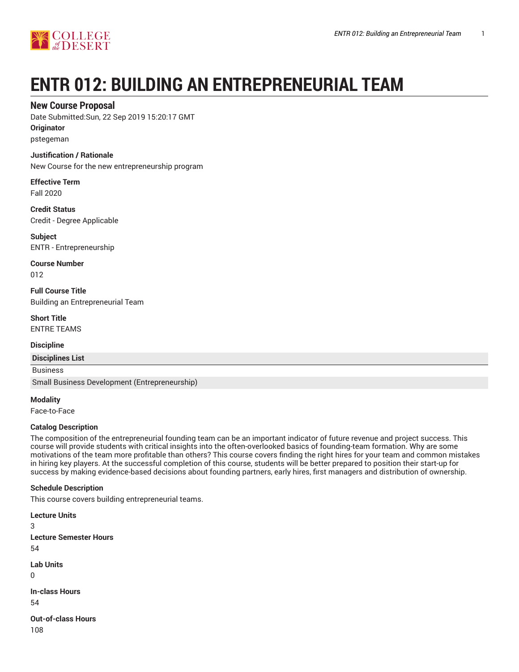

# **ENTR 012: BUILDING AN ENTREPRENEURIAL TEAM**

# **New Course Proposal**

Date Submitted:Sun, 22 Sep 2019 15:20:17 GMT

**Originator**

pstegeman

### **Justification / Rationale**

New Course for the new entrepreneurship program

**Effective Term** Fall 2020

**Credit Status** Credit - Degree Applicable

**Subject** ENTR - Entrepreneurship

**Course Number** 012

**Full Course Title** Building an Entrepreneurial Team

**Short Title** ENTRE TEAMS

**Discipline**

**Disciplines List**

Business

Small Business Development (Entrepreneurship)

**Modality**

Face-to-Face

## **Catalog Description**

The composition of the entrepreneurial founding team can be an important indicator of future revenue and project success. This course will provide students with critical insights into the often-overlooked basics of founding-team formation. Why are some motivations of the team more profitable than others? This course covers finding the right hires for your team and common mistakes in hiring key players. At the successful completion of this course, students will be better prepared to position their start-up for success by making evidence-based decisions about founding partners, early hires, first managers and distribution of ownership.

## **Schedule Description**

This course covers building entrepreneurial teams.

**Lecture Units** 3 **Lecture Semester Hours** 54 **Lab Units** 0 **In-class Hours** 54

**Out-of-class Hours** 108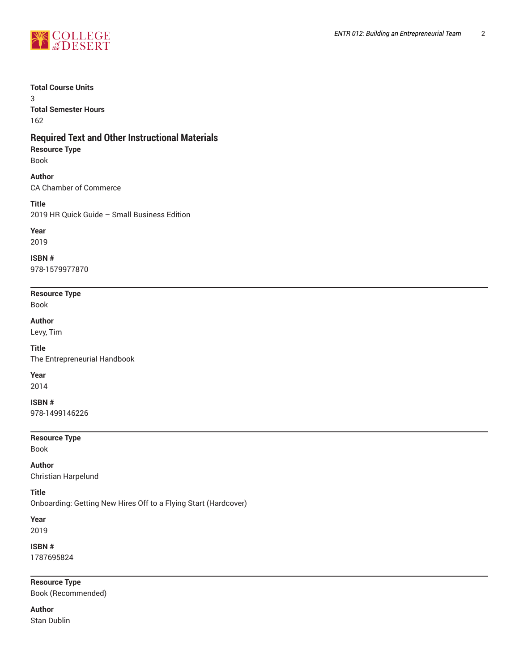

#### **Total Course Units**

3 **Total Semester Hours** 162

# **Required Text and Other Instructional Materials**

**Resource Type**

Book

# **Author**

CA Chamber of Commerce

**Title**

2019 HR Quick Guide – Small Business Edition

## **Year**

2019

**ISBN #**

978-1579977870

#### **Resource Type** Book

**Author**

Levy, Tim

**Title** The Entrepreneurial Handbook

**Year**

2014

**ISBN #**

978-1499146226

**Resource Type**

Book

# **Author**

Christian Harpelund

# **Title**

Onboarding: Getting New Hires Off to a Flying Start (Hardcover)

**Year** 2019

**ISBN #**

1787695824

**Resource Type**

Book (Recommended)

**Author** Stan Dublin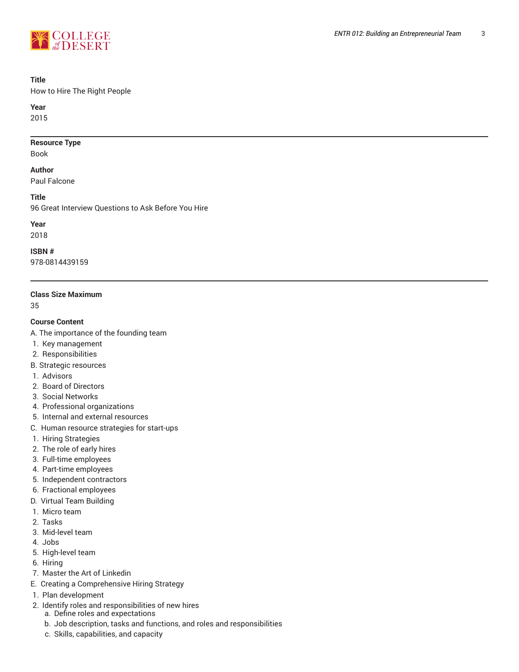

#### **Title**

How to Hire The Right People

**Year**

2015

#### **Resource Type**

Book

#### **Author**

Paul Falcone

**Title**

96 Great Interview Questions to Ask Before You Hire

# **Year**

2018

#### **ISBN #**

978-0814439159

#### **Class Size Maximum**

35

#### **Course Content**

- A. The importance of the founding team
- 1. Key management
- 2. Responsibilities
- B. Strategic resources
- 1. Advisors
- 2. Board of Directors
- 3. Social Networks
- 4. Professional organizations
- 5. Internal and external resources
- C. Human resource strategies for start-ups
- 1. Hiring Strategies
- 2. The role of early hires
- 3. Full-time employees
- 4. Part-time employees
- 5. Independent contractors
- 6. Fractional employees
- D. Virtual Team Building
- 1. Micro team
- 2. Tasks
- 3. Mid-level team
- 4. Jobs
- 5. High-level team
- 6. Hiring
- 7. Master the Art of Linkedin
- E. Creating a Comprehensive Hiring Strategy
- 1. Plan development
- 2. Identify roles and responsibilities of new hires
	- a. Define roles and expectations
	- b. Job description, tasks and functions, and roles and responsibilities
	- c. Skills, capabilities, and capacity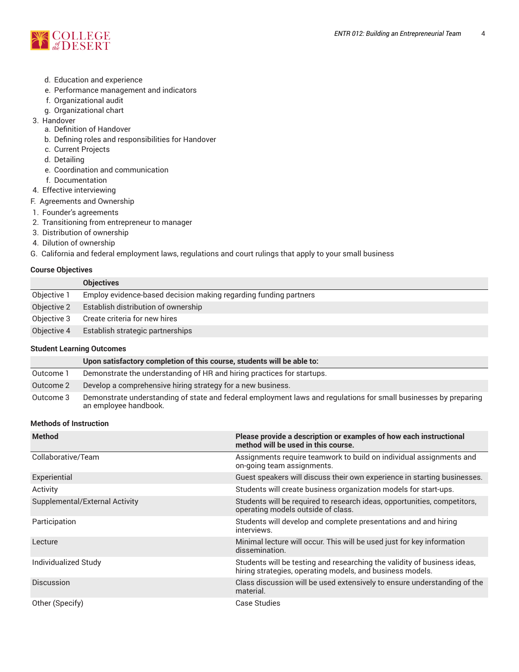

- d. Education and experience
- e. Performance management and indicators
- f. Organizational audit
- g. Organizational chart
- 3. Handover
	- a. Definition of Handover
	- b. Defining roles and responsibilities for Handover
	- c. Current Projects
	- d. Detailing
	- e. Coordination and communication
	- f. Documentation
- 4. Effective interviewing
- F. Agreements and Ownership
- 1. Founder's agreements
- 2. Transitioning from entrepreneur to manager
- 3. Distribution of ownership
- 4. Dilution of ownership
- G. California and federal employment laws, regulations and court rulings that apply to your small business

#### **Course Objectives**

|             | <b>Objectives</b>                                                |
|-------------|------------------------------------------------------------------|
| Objective 1 | Employ evidence-based decision making regarding funding partners |
| Objective 2 | Establish distribution of ownership                              |
| Objective 3 | Create criteria for new hires                                    |
| Objective 4 | Establish strategic partnerships                                 |
|             |                                                                  |

#### **Student Learning Outcomes**

|           | Upon satisfactory completion of this course, students will be able to:                                                                    |
|-----------|-------------------------------------------------------------------------------------------------------------------------------------------|
| Outcome 1 | Demonstrate the understanding of HR and hiring practices for startups.                                                                    |
| Outcome 2 | Develop a comprehensive hiring strategy for a new business.                                                                               |
| Outcome 3 | Demonstrate understanding of state and federal employment laws and regulations for small businesses by preparing<br>an employee handbook. |

#### **Methods of Instruction**

| <b>Method</b>                  | Please provide a description or examples of how each instructional<br>method will be used in this course.                             |
|--------------------------------|---------------------------------------------------------------------------------------------------------------------------------------|
| Collaborative/Team             | Assignments require teamwork to build on individual assignments and<br>on-going team assignments.                                     |
| Experiential                   | Guest speakers will discuss their own experience in starting businesses.                                                              |
| Activity                       | Students will create business organization models for start-ups.                                                                      |
| Supplemental/External Activity | Students will be required to research ideas, opportunities, competitors,<br>operating models outside of class.                        |
| Participation                  | Students will develop and complete presentations and and hiring<br>interviews.                                                        |
| Lecture                        | Minimal lecture will occur. This will be used just for key information<br>dissemination.                                              |
| Individualized Study           | Students will be testing and researching the validity of business ideas,<br>hiring strategies, operating models, and business models. |
| <b>Discussion</b>              | Class discussion will be used extensively to ensure understanding of the<br>material.                                                 |
| Other (Specify)                | Case Studies                                                                                                                          |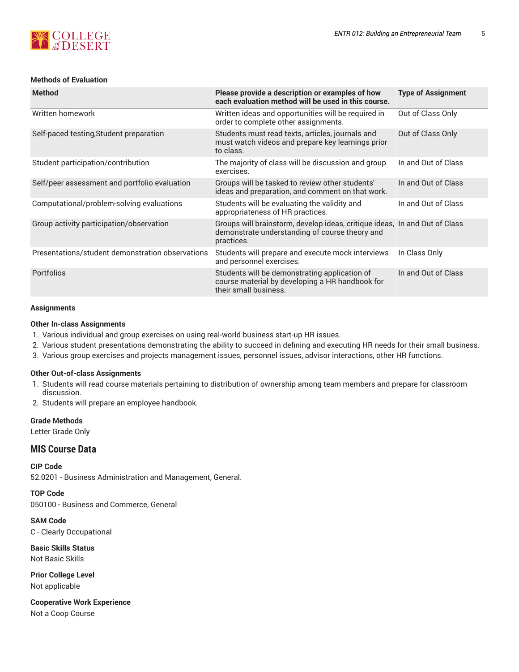# **SCOLLEGE**

# **Methods of Evaluation**

| <b>Method</b>                                    | Please provide a description or examples of how<br>each evaluation method will be used in this course.                                     | <b>Type of Assignment</b> |
|--------------------------------------------------|--------------------------------------------------------------------------------------------------------------------------------------------|---------------------------|
| Written homework                                 | Written ideas and opportunities will be required in<br>order to complete other assignments.                                                | Out of Class Only         |
| Self-paced testing, Student preparation          | Students must read texts, articles, journals and<br>must watch videos and prepare key learnings prior<br>to class.                         | Out of Class Only         |
| Student participation/contribution               | The majority of class will be discussion and group<br>exercises.                                                                           | In and Out of Class       |
| Self/peer assessment and portfolio evaluation    | Groups will be tasked to review other students'<br>ideas and preparation, and comment on that work.                                        | In and Out of Class       |
| Computational/problem-solving evaluations        | Students will be evaluating the validity and<br>appropriateness of HR practices.                                                           | In and Out of Class       |
| Group activity participation/observation         | Groups will brainstorm, develop ideas, critique ideas, In and Out of Class<br>demonstrate understanding of course theory and<br>practices. |                           |
| Presentations/student demonstration observations | Students will prepare and execute mock interviews<br>and personnel exercises.                                                              | In Class Only             |
| Portfolios                                       | Students will be demonstrating application of<br>course material by developing a HR handbook for<br>their small business.                  | In and Out of Class       |

# **Assignments**

#### **Other In-class Assignments**

- 1. Various individual and group exercises on using real-world business start-up HR issues.
- 2. Various student presentations demonstrating the ability to succeed in defining and executing HR needs for their small business.
- 3. Various group exercises and projects management issues, personnel issues, advisor interactions, other HR functions.

## **Other Out-of-class Assignments**

- 1. Students will read course materials pertaining to distribution of ownership among team members and prepare for classroom discussion.
- 2. Students will prepare an employee handbook.

## **Grade Methods**

Letter Grade Only

# **MIS Course Data**

**CIP Code**

52.0201 - Business Administration and Management, General.

**TOP Code** 050100 - Business and Commerce, General

**SAM Code** C - Clearly Occupational

**Basic Skills Status** Not Basic Skills

**Prior College Level** Not applicable

**Cooperative Work Experience** Not a Coop Course